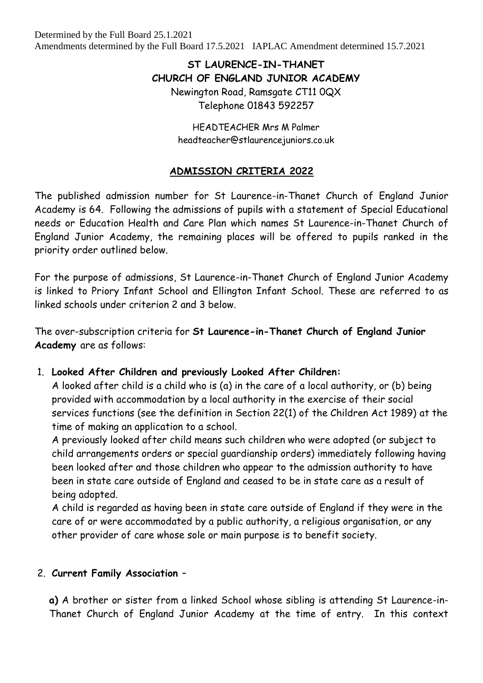# **ST LAURENCE-IN-THANET CHURCH OF ENGLAND JUNIOR ACADEMY** Newington Road, Ramsgate CT11 0QX Telephone 01843 592257

HEADTEACHER Mrs M Palmer headteacher@stlaurencejuniors.co.uk

#### **ADMISSION CRITERIA 2022**

The published admission number for St Laurence-in-Thanet Church of England Junior Academy is 64. Following the admissions of pupils with a statement of Special Educational needs or Education Health and Care Plan which names St Laurence-in-Thanet Church of England Junior Academy, the remaining places will be offered to pupils ranked in the priority order outlined below.

For the purpose of admissions, St Laurence-in-Thanet Church of England Junior Academy is linked to Priory Infant School and Ellington Infant School. These are referred to as linked schools under criterion 2 and 3 below.

The over-subscription criteria for **St Laurence-in-Thanet Church of England Junior Academy** are as follows:

#### 1. **Looked After Children and previously Looked After Children:**

A looked after child is a child who is (a) in the care of a local authority, or (b) being provided with accommodation by a local authority in the exercise of their social services functions (see the definition in Section 22(1) of the Children Act 1989) at the time of making an application to a school.

A previously looked after child means such children who were adopted (or subject to child arrangements orders or special guardianship orders) immediately following having been looked after and those children who appear to the admission authority to have been in state care outside of England and ceased to be in state care as a result of being adopted.

A child is regarded as having been in state care outside of England if they were in the care of or were accommodated by a public authority, a religious organisation, or any other provider of care whose sole or main purpose is to benefit society.

#### 2. **Current Family Association** –

**a)** A brother or sister from a linked School whose sibling is attending St Laurence-in-Thanet Church of England Junior Academy at the time of entry. In this context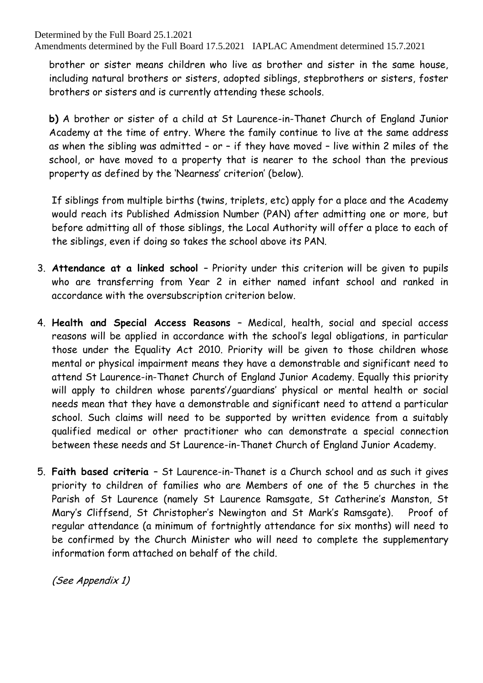brother or sister means children who live as brother and sister in the same house, including natural brothers or sisters, adopted siblings, stepbrothers or sisters, foster brothers or sisters and is currently attending these schools.

**b)** A brother or sister of a child at St Laurence-in-Thanet Church of England Junior Academy at the time of entry. Where the family continue to live at the same address as when the sibling was admitted – or – if they have moved – live within 2 miles of the school, or have moved to a property that is nearer to the school than the previous property as defined by the 'Nearness' criterion' (below).

If siblings from multiple births (twins, triplets, etc) apply for a place and the Academy would reach its Published Admission Number (PAN) after admitting one or more, but before admitting all of those siblings, the Local Authority will offer a place to each of the siblings, even if doing so takes the school above its PAN.

- 3. **Attendance at a linked school**  Priority under this criterion will be given to pupils who are transferring from Year 2 in either named infant school and ranked in accordance with the oversubscription criterion below.
- 4. **Health and Special Access Reasons**  Medical, health, social and special access reasons will be applied in accordance with the school's legal obligations, in particular those under the Equality Act 2010. Priority will be given to those children whose mental or physical impairment means they have a demonstrable and significant need to attend St Laurence-in-Thanet Church of England Junior Academy. Equally this priority will apply to children whose parents'/guardians' physical or mental health or social needs mean that they have a demonstrable and significant need to attend a particular school. Such claims will need to be supported by written evidence from a suitably qualified medical or other practitioner who can demonstrate a special connection between these needs and St Laurence-in-Thanet Church of England Junior Academy.
- 5. **Faith based criteria**  St Laurence-in-Thanet is a Church school and as such it gives priority to children of families who are Members of one of the 5 churches in the Parish of St Laurence (namely St Laurence Ramsgate, St Catherine's Manston, St Mary's Cliffsend, St Christopher's Newington and St Mark's Ramsgate). Proof of regular attendance (a minimum of fortnightly attendance for six months) will need to be confirmed by the Church Minister who will need to complete the supplementary information form attached on behalf of the child.

(See Appendix 1)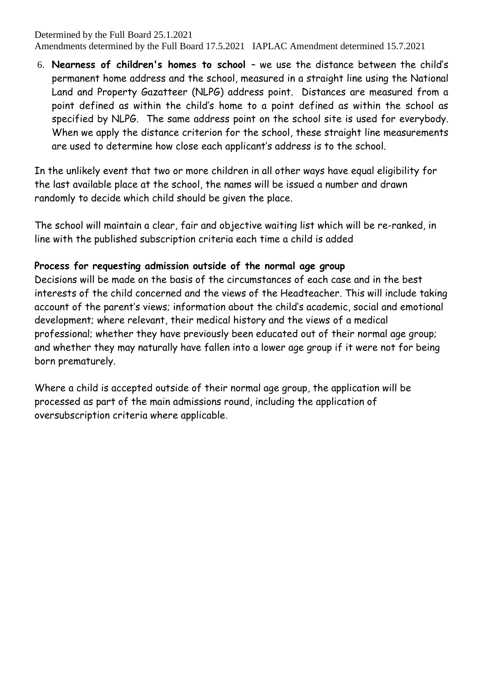6. **Nearness of children's homes to school** – we use the distance between the child's permanent home address and the school, measured in a straight line using the National Land and Property Gazatteer (NLPG) address point. Distances are measured from a point defined as within the child's home to a point defined as within the school as specified by NLPG. The same address point on the school site is used for everybody. When we apply the distance criterion for the school, these straight line measurements are used to determine how close each applicant's address is to the school.

In the unlikely event that two or more children in all other ways have equal eligibility for the last available place at the school, the names will be issued a number and drawn randomly to decide which child should be given the place.

The school will maintain a clear, fair and objective waiting list which will be re-ranked, in line with the published subscription criteria each time a child is added

#### **Process for requesting admission outside of the normal age group**

Decisions will be made on the basis of the circumstances of each case and in the best interests of the child concerned and the views of the Headteacher. This will include taking account of the parent's views; information about the child's academic, social and emotional development; where relevant, their medical history and the views of a medical professional; whether they have previously been educated out of their normal age group; and whether they may naturally have fallen into a lower age group if it were not for being born prematurely.

Where a child is accepted outside of their normal age group, the application will be processed as part of the main admissions round, including the application of oversubscription criteria where applicable.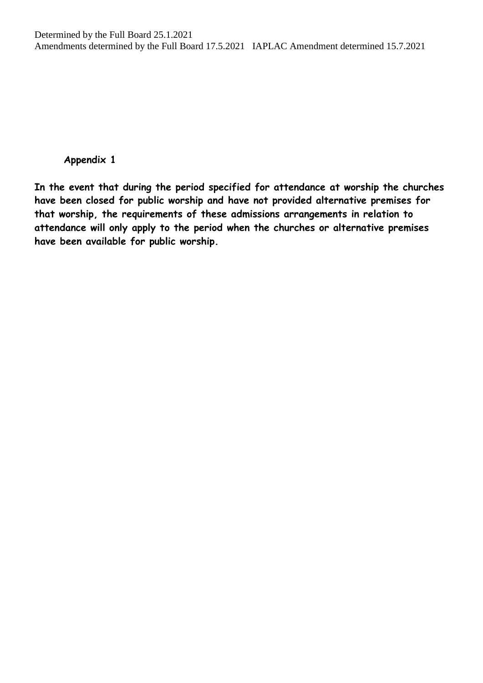#### **Appendix 1**

**In the event that during the period specified for attendance at worship the churches have been closed for public worship and have not provided alternative premises for that worship, the requirements of these admissions arrangements in relation to attendance will only apply to the period when the churches or alternative premises have been available for public worship.**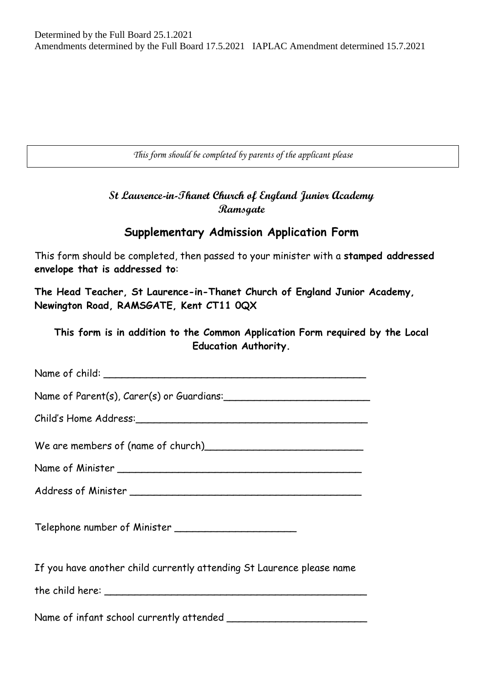*This form should be completed by parents of the applicant please*

### **St Laurence-in-Thanet Church of England Junior Academy Ramsgate**

## **Supplementary Admission Application Form**

This form should be completed, then passed to your minister with a **stamped addressed envelope that is addressed to**:

**The Head Teacher, St Laurence-in-Thanet Church of England Junior Academy, Newington Road, RAMSGATE, Kent CT11 0QX**

**This form is in addition to the Common Application Form required by the Local Education Authority.**

| If you have another child currently attending St Laurence please name |
|-----------------------------------------------------------------------|
|                                                                       |
|                                                                       |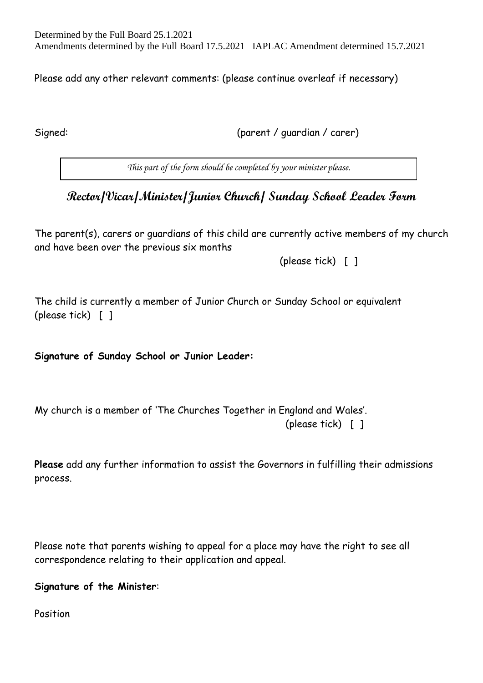Please add any other relevant comments: (please continue overleaf if necessary)

Signed: (parent / guardian / carer)

*This part of the form should be completed by your minister please.*

# **Rector/Vicar/Minister/Junior Church/ Sunday School Leader Form**

The parent(s), carers or guardians of this child are currently active members of my church and have been over the previous six months

(please tick) [ ]

The child is currently a member of Junior Church or Sunday School or equivalent (please tick) [ ]

**Signature of Sunday School or Junior Leader:**

My church is a member of 'The Churches Together in England and Wales'.

(please tick) [ ]

**Please** add any further information to assist the Governors in fulfilling their admissions process.

Please note that parents wishing to appeal for a place may have the right to see all correspondence relating to their application and appeal.

**Signature of the Minister**:

Position